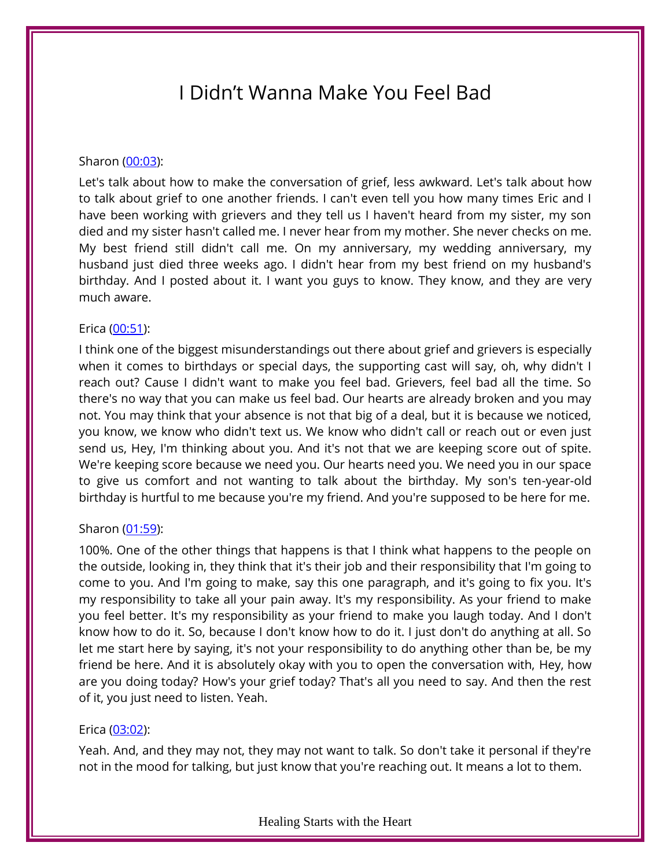# I Didn't Wanna Make You Feel Bad

## Sharon [\(00:03\)](https://www.temi.com/editor/t/ZHqJ2G4pwZ_BcZlKTlz7ObxDikOuPz2jZwdaeH63MeeLa0czd7YU0AW1kRPyZhhyoVha8SNKhkUlJDziW_Tbn4FIwyk?loadFrom=DocumentDeeplink&ts=3.01):

Let's talk about how to make the conversation of grief, less awkward. Let's talk about how to talk about grief to one another friends. I can't even tell you how many times Eric and I have been working with grievers and they tell us I haven't heard from my sister, my son died and my sister hasn't called me. I never hear from my mother. She never checks on me. My best friend still didn't call me. On my anniversary, my wedding anniversary, my husband just died three weeks ago. I didn't hear from my best friend on my husband's birthday. And I posted about it. I want you guys to know. They know, and they are very much aware.

## Erica [\(00:51\)](https://www.temi.com/editor/t/ZHqJ2G4pwZ_BcZlKTlz7ObxDikOuPz2jZwdaeH63MeeLa0czd7YU0AW1kRPyZhhyoVha8SNKhkUlJDziW_Tbn4FIwyk?loadFrom=DocumentDeeplink&ts=51.6):

I think one of the biggest misunderstandings out there about grief and grievers is especially when it comes to birthdays or special days, the supporting cast will say, oh, why didn't I reach out? Cause I didn't want to make you feel bad. Grievers, feel bad all the time. So there's no way that you can make us feel bad. Our hearts are already broken and you may not. You may think that your absence is not that big of a deal, but it is because we noticed, you know, we know who didn't text us. We know who didn't call or reach out or even just send us, Hey, I'm thinking about you. And it's not that we are keeping score out of spite. We're keeping score because we need you. Our hearts need you. We need you in our space to give us comfort and not wanting to talk about the birthday. My son's ten-year-old birthday is hurtful to me because you're my friend. And you're supposed to be here for me.

#### Sharon [\(01:59\)](https://www.temi.com/editor/t/ZHqJ2G4pwZ_BcZlKTlz7ObxDikOuPz2jZwdaeH63MeeLa0czd7YU0AW1kRPyZhhyoVha8SNKhkUlJDziW_Tbn4FIwyk?loadFrom=DocumentDeeplink&ts=119.97):

100%. One of the other things that happens is that I think what happens to the people on the outside, looking in, they think that it's their job and their responsibility that I'm going to come to you. And I'm going to make, say this one paragraph, and it's going to fix you. It's my responsibility to take all your pain away. It's my responsibility. As your friend to make you feel better. It's my responsibility as your friend to make you laugh today. And I don't know how to do it. So, because I don't know how to do it. I just don't do anything at all. So let me start here by saying, it's not your responsibility to do anything other than be, be my friend be here. And it is absolutely okay with you to open the conversation with, Hey, how are you doing today? How's your grief today? That's all you need to say. And then the rest of it, you just need to listen. Yeah.

## Erica [\(03:02\)](https://www.temi.com/editor/t/ZHqJ2G4pwZ_BcZlKTlz7ObxDikOuPz2jZwdaeH63MeeLa0czd7YU0AW1kRPyZhhyoVha8SNKhkUlJDziW_Tbn4FIwyk?loadFrom=DocumentDeeplink&ts=182.35):

Yeah. And, and they may not, they may not want to talk. So don't take it personal if they're not in the mood for talking, but just know that you're reaching out. It means a lot to them.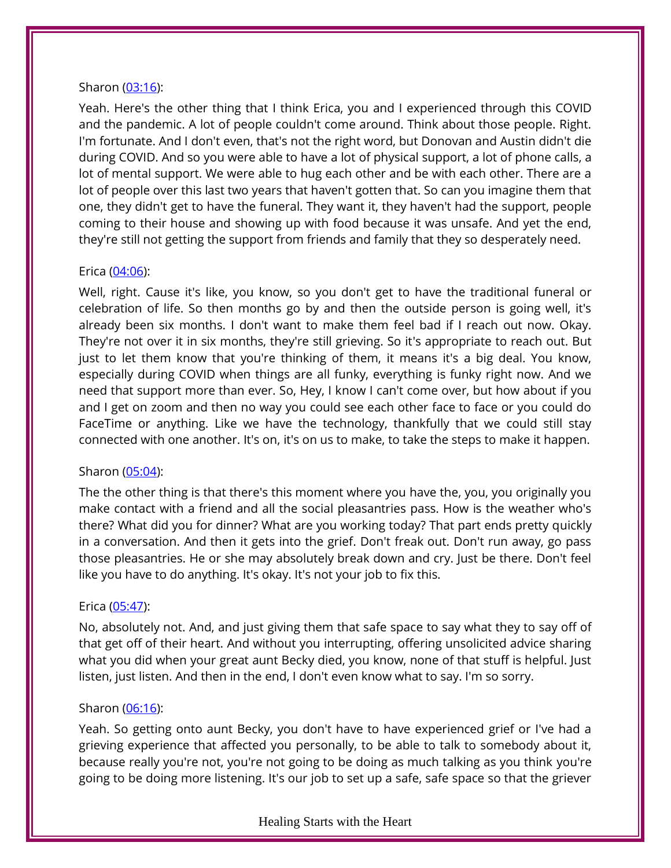## Sharon [\(03:16\)](https://www.temi.com/editor/t/ZHqJ2G4pwZ_BcZlKTlz7ObxDikOuPz2jZwdaeH63MeeLa0czd7YU0AW1kRPyZhhyoVha8SNKhkUlJDziW_Tbn4FIwyk?loadFrom=DocumentDeeplink&ts=196.16):

Yeah. Here's the other thing that I think Erica, you and I experienced through this COVID and the pandemic. A lot of people couldn't come around. Think about those people. Right. I'm fortunate. And I don't even, that's not the right word, but Donovan and Austin didn't die during COVID. And so you were able to have a lot of physical support, a lot of phone calls, a lot of mental support. We were able to hug each other and be with each other. There are a lot of people over this last two years that haven't gotten that. So can you imagine them that one, they didn't get to have the funeral. They want it, they haven't had the support, people coming to their house and showing up with food because it was unsafe. And yet the end, they're still not getting the support from friends and family that they so desperately need.

## Erica [\(04:06\)](https://www.temi.com/editor/t/ZHqJ2G4pwZ_BcZlKTlz7ObxDikOuPz2jZwdaeH63MeeLa0czd7YU0AW1kRPyZhhyoVha8SNKhkUlJDziW_Tbn4FIwyk?loadFrom=DocumentDeeplink&ts=246.59):

Well, right. Cause it's like, you know, so you don't get to have the traditional funeral or celebration of life. So then months go by and then the outside person is going well, it's already been six months. I don't want to make them feel bad if I reach out now. Okay. They're not over it in six months, they're still grieving. So it's appropriate to reach out. But just to let them know that you're thinking of them, it means it's a big deal. You know, especially during COVID when things are all funky, everything is funky right now. And we need that support more than ever. So, Hey, I know I can't come over, but how about if you and I get on zoom and then no way you could see each other face to face or you could do FaceTime or anything. Like we have the technology, thankfully that we could still stay connected with one another. It's on, it's on us to make, to take the steps to make it happen.

## Sharon [\(05:04\)](https://www.temi.com/editor/t/ZHqJ2G4pwZ_BcZlKTlz7ObxDikOuPz2jZwdaeH63MeeLa0czd7YU0AW1kRPyZhhyoVha8SNKhkUlJDziW_Tbn4FIwyk?loadFrom=DocumentDeeplink&ts=304.38):

The the other thing is that there's this moment where you have the, you, you originally you make contact with a friend and all the social pleasantries pass. How is the weather who's there? What did you for dinner? What are you working today? That part ends pretty quickly in a conversation. And then it gets into the grief. Don't freak out. Don't run away, go pass those pleasantries. He or she may absolutely break down and cry. Just be there. Don't feel like you have to do anything. It's okay. It's not your job to fix this.

#### Erica [\(05:47\)](https://www.temi.com/editor/t/ZHqJ2G4pwZ_BcZlKTlz7ObxDikOuPz2jZwdaeH63MeeLa0czd7YU0AW1kRPyZhhyoVha8SNKhkUlJDziW_Tbn4FIwyk?loadFrom=DocumentDeeplink&ts=347.78):

No, absolutely not. And, and just giving them that safe space to say what they to say off of that get off of their heart. And without you interrupting, offering unsolicited advice sharing what you did when your great aunt Becky died, you know, none of that stuff is helpful. Just listen, just listen. And then in the end, I don't even know what to say. I'm so sorry.

## Sharon [\(06:16\)](https://www.temi.com/editor/t/ZHqJ2G4pwZ_BcZlKTlz7ObxDikOuPz2jZwdaeH63MeeLa0czd7YU0AW1kRPyZhhyoVha8SNKhkUlJDziW_Tbn4FIwyk?loadFrom=DocumentDeeplink&ts=376.52):

Yeah. So getting onto aunt Becky, you don't have to have experienced grief or I've had a grieving experience that affected you personally, to be able to talk to somebody about it, because really you're not, you're not going to be doing as much talking as you think you're going to be doing more listening. It's our job to set up a safe, safe space so that the griever

#### Healing Starts with the Heart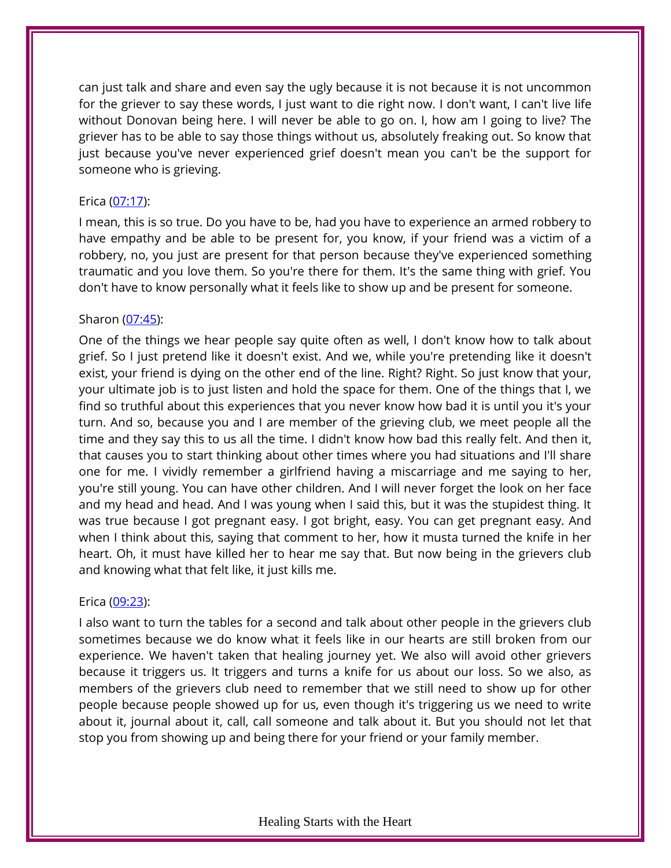can just talk and share and even say the ugly because it is not because it is not uncommon for the griever to say these words, I just want to die right now. I don't want, I can't live life without Donovan being here. I will never be able to go on. I, how am I going to live? The griever has to be able to say those things without us, absolutely freaking out. So know that just because you've never experienced grief doesn't mean you can't be the support for someone who is grieving.

## Erica [\(07:17\)](https://www.temi.com/editor/t/ZHqJ2G4pwZ_BcZlKTlz7ObxDikOuPz2jZwdaeH63MeeLa0czd7YU0AW1kRPyZhhyoVha8SNKhkUlJDziW_Tbn4FIwyk?loadFrom=DocumentDeeplink&ts=437.84):

I mean, this is so true. Do you have to be, had you have to experience an armed robbery to have empathy and be able to be present for, you know, if your friend was a victim of a robbery, no, you just are present for that person because they've experienced something traumatic and you love them. So you're there for them. It's the same thing with grief. You don't have to know personally what it feels like to show up and be present for someone.

# Sharon [\(07:45\)](https://www.temi.com/editor/t/ZHqJ2G4pwZ_BcZlKTlz7ObxDikOuPz2jZwdaeH63MeeLa0czd7YU0AW1kRPyZhhyoVha8SNKhkUlJDziW_Tbn4FIwyk?loadFrom=DocumentDeeplink&ts=465.89):

One of the things we hear people say quite often as well, I don't know how to talk about grief. So I just pretend like it doesn't exist. And we, while you're pretending like it doesn't exist, your friend is dying on the other end of the line. Right? Right. So just know that your, your ultimate job is to just listen and hold the space for them. One of the things that I, we find so truthful about this experiences that you never know how bad it is until you it's your turn. And so, because you and I are member of the grieving club, we meet people all the time and they say this to us all the time. I didn't know how bad this really felt. And then it, that causes you to start thinking about other times where you had situations and I'll share one for me. I vividly remember a girlfriend having a miscarriage and me saying to her, you're still young. You can have other children. And I will never forget the look on her face and my head and head. And I was young when I said this, but it was the stupidest thing. It was true because I got pregnant easy. I got bright, easy. You can get pregnant easy. And when I think about this, saying that comment to her, how it musta turned the knife in her heart. Oh, it must have killed her to hear me say that. But now being in the grievers club and knowing what that felt like, it just kills me.

## Erica [\(09:23\)](https://www.temi.com/editor/t/ZHqJ2G4pwZ_BcZlKTlz7ObxDikOuPz2jZwdaeH63MeeLa0czd7YU0AW1kRPyZhhyoVha8SNKhkUlJDziW_Tbn4FIwyk?loadFrom=DocumentDeeplink&ts=563.92):

I also want to turn the tables for a second and talk about other people in the grievers club sometimes because we do know what it feels like in our hearts are still broken from our experience. We haven't taken that healing journey yet. We also will avoid other grievers because it triggers us. It triggers and turns a knife for us about our loss. So we also, as members of the grievers club need to remember that we still need to show up for other people because people showed up for us, even though it's triggering us we need to write about it, journal about it, call, call someone and talk about it. But you should not let that stop you from showing up and being there for your friend or your family member.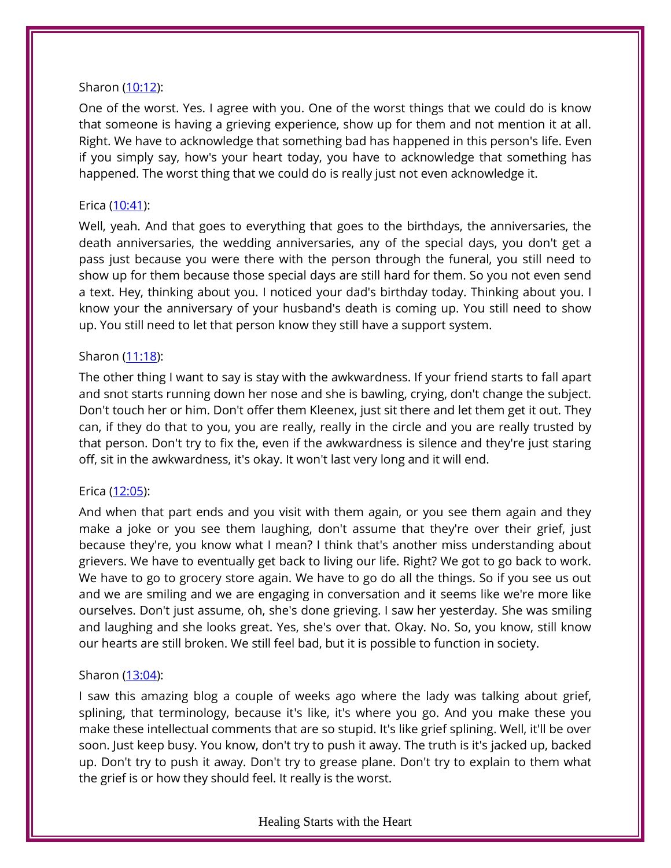## Sharon [\(10:12\)](https://www.temi.com/editor/t/ZHqJ2G4pwZ_BcZlKTlz7ObxDikOuPz2jZwdaeH63MeeLa0czd7YU0AW1kRPyZhhyoVha8SNKhkUlJDziW_Tbn4FIwyk?loadFrom=DocumentDeeplink&ts=612.83):

One of the worst. Yes. I agree with you. One of the worst things that we could do is know that someone is having a grieving experience, show up for them and not mention it at all. Right. We have to acknowledge that something bad has happened in this person's life. Even if you simply say, how's your heart today, you have to acknowledge that something has happened. The worst thing that we could do is really just not even acknowledge it.

# Erica [\(10:41\)](https://www.temi.com/editor/t/ZHqJ2G4pwZ_BcZlKTlz7ObxDikOuPz2jZwdaeH63MeeLa0czd7YU0AW1kRPyZhhyoVha8SNKhkUlJDziW_Tbn4FIwyk?loadFrom=DocumentDeeplink&ts=641.44):

Well, yeah. And that goes to everything that goes to the birthdays, the anniversaries, the death anniversaries, the wedding anniversaries, any of the special days, you don't get a pass just because you were there with the person through the funeral, you still need to show up for them because those special days are still hard for them. So you not even send a text. Hey, thinking about you. I noticed your dad's birthday today. Thinking about you. I know your the anniversary of your husband's death is coming up. You still need to show up. You still need to let that person know they still have a support system.

# Sharon [\(11:18\)](https://www.temi.com/editor/t/ZHqJ2G4pwZ_BcZlKTlz7ObxDikOuPz2jZwdaeH63MeeLa0czd7YU0AW1kRPyZhhyoVha8SNKhkUlJDziW_Tbn4FIwyk?loadFrom=DocumentDeeplink&ts=678.07):

The other thing I want to say is stay with the awkwardness. If your friend starts to fall apart and snot starts running down her nose and she is bawling, crying, don't change the subject. Don't touch her or him. Don't offer them Kleenex, just sit there and let them get it out. They can, if they do that to you, you are really, really in the circle and you are really trusted by that person. Don't try to fix the, even if the awkwardness is silence and they're just staring off, sit in the awkwardness, it's okay. It won't last very long and it will end.

# Erica [\(12:05\)](https://www.temi.com/editor/t/ZHqJ2G4pwZ_BcZlKTlz7ObxDikOuPz2jZwdaeH63MeeLa0czd7YU0AW1kRPyZhhyoVha8SNKhkUlJDziW_Tbn4FIwyk?loadFrom=DocumentDeeplink&ts=725.59):

And when that part ends and you visit with them again, or you see them again and they make a joke or you see them laughing, don't assume that they're over their grief, just because they're, you know what I mean? I think that's another miss understanding about grievers. We have to eventually get back to living our life. Right? We got to go back to work. We have to go to grocery store again. We have to go do all the things. So if you see us out and we are smiling and we are engaging in conversation and it seems like we're more like ourselves. Don't just assume, oh, she's done grieving. I saw her yesterday. She was smiling and laughing and she looks great. Yes, she's over that. Okay. No. So, you know, still know our hearts are still broken. We still feel bad, but it is possible to function in society.

## Sharon [\(13:04\)](https://www.temi.com/editor/t/ZHqJ2G4pwZ_BcZlKTlz7ObxDikOuPz2jZwdaeH63MeeLa0czd7YU0AW1kRPyZhhyoVha8SNKhkUlJDziW_Tbn4FIwyk?loadFrom=DocumentDeeplink&ts=784.66):

I saw this amazing blog a couple of weeks ago where the lady was talking about grief, splining, that terminology, because it's like, it's where you go. And you make these you make these intellectual comments that are so stupid. It's like grief splining. Well, it'll be over soon. Just keep busy. You know, don't try to push it away. The truth is it's jacked up, backed up. Don't try to push it away. Don't try to grease plane. Don't try to explain to them what the grief is or how they should feel. It really is the worst.

## Healing Starts with the Heart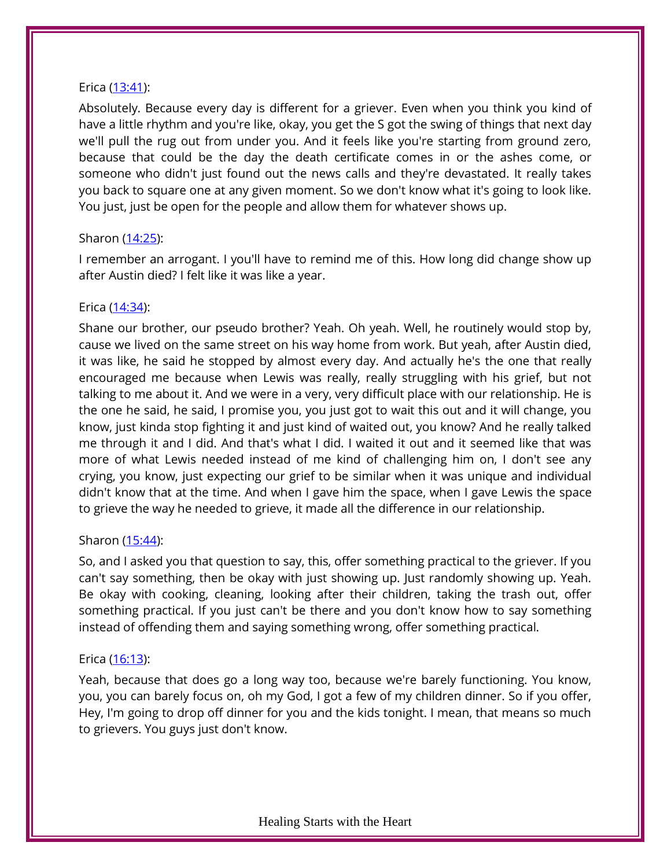## Erica [\(13:41\)](https://www.temi.com/editor/t/ZHqJ2G4pwZ_BcZlKTlz7ObxDikOuPz2jZwdaeH63MeeLa0czd7YU0AW1kRPyZhhyoVha8SNKhkUlJDziW_Tbn4FIwyk?loadFrom=DocumentDeeplink&ts=821.37):

Absolutely. Because every day is different for a griever. Even when you think you kind of have a little rhythm and you're like, okay, you get the S got the swing of things that next day we'll pull the rug out from under you. And it feels like you're starting from ground zero, because that could be the day the death certificate comes in or the ashes come, or someone who didn't just found out the news calls and they're devastated. It really takes you back to square one at any given moment. So we don't know what it's going to look like. You just, just be open for the people and allow them for whatever shows up.

## Sharon [\(14:25\)](https://www.temi.com/editor/t/ZHqJ2G4pwZ_BcZlKTlz7ObxDikOuPz2jZwdaeH63MeeLa0czd7YU0AW1kRPyZhhyoVha8SNKhkUlJDziW_Tbn4FIwyk?loadFrom=DocumentDeeplink&ts=865.49):

I remember an arrogant. I you'll have to remind me of this. How long did change show up after Austin died? I felt like it was like a year.

## Erica [\(14:34\)](https://www.temi.com/editor/t/ZHqJ2G4pwZ_BcZlKTlz7ObxDikOuPz2jZwdaeH63MeeLa0czd7YU0AW1kRPyZhhyoVha8SNKhkUlJDziW_Tbn4FIwyk?loadFrom=DocumentDeeplink&ts=874.82):

Shane our brother, our pseudo brother? Yeah. Oh yeah. Well, he routinely would stop by, cause we lived on the same street on his way home from work. But yeah, after Austin died, it was like, he said he stopped by almost every day. And actually he's the one that really encouraged me because when Lewis was really, really struggling with his grief, but not talking to me about it. And we were in a very, very difficult place with our relationship. He is the one he said, he said, I promise you, you just got to wait this out and it will change, you know, just kinda stop fighting it and just kind of waited out, you know? And he really talked me through it and I did. And that's what I did. I waited it out and it seemed like that was more of what Lewis needed instead of me kind of challenging him on, I don't see any crying, you know, just expecting our grief to be similar when it was unique and individual didn't know that at the time. And when I gave him the space, when I gave Lewis the space to grieve the way he needed to grieve, it made all the difference in our relationship.

## Sharon [\(15:44\)](https://www.temi.com/editor/t/ZHqJ2G4pwZ_BcZlKTlz7ObxDikOuPz2jZwdaeH63MeeLa0czd7YU0AW1kRPyZhhyoVha8SNKhkUlJDziW_Tbn4FIwyk?loadFrom=DocumentDeeplink&ts=944.69):

So, and I asked you that question to say, this, offer something practical to the griever. If you can't say something, then be okay with just showing up. Just randomly showing up. Yeah. Be okay with cooking, cleaning, looking after their children, taking the trash out, offer something practical. If you just can't be there and you don't know how to say something instead of offending them and saying something wrong, offer something practical.

## Erica [\(16:13\)](https://www.temi.com/editor/t/ZHqJ2G4pwZ_BcZlKTlz7ObxDikOuPz2jZwdaeH63MeeLa0czd7YU0AW1kRPyZhhyoVha8SNKhkUlJDziW_Tbn4FIwyk?loadFrom=DocumentDeeplink&ts=973.73):

Yeah, because that does go a long way too, because we're barely functioning. You know, you, you can barely focus on, oh my God, I got a few of my children dinner. So if you offer, Hey, I'm going to drop off dinner for you and the kids tonight. I mean, that means so much to grievers. You guys just don't know.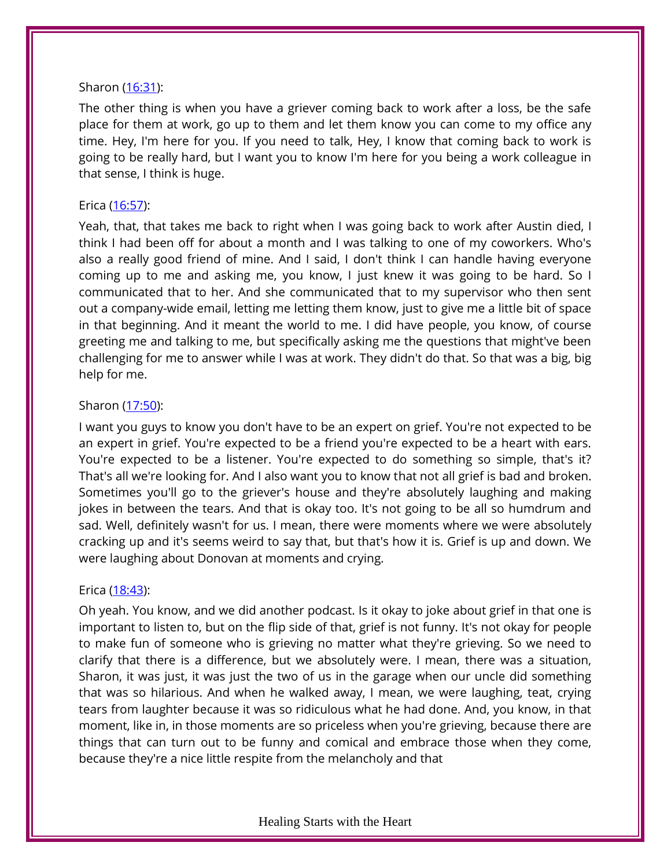## Sharon [\(16:31\)](https://www.temi.com/editor/t/ZHqJ2G4pwZ_BcZlKTlz7ObxDikOuPz2jZwdaeH63MeeLa0czd7YU0AW1kRPyZhhyoVha8SNKhkUlJDziW_Tbn4FIwyk?loadFrom=DocumentDeeplink&ts=991.58):

The other thing is when you have a griever coming back to work after a loss, be the safe place for them at work, go up to them and let them know you can come to my office any time. Hey, I'm here for you. If you need to talk, Hey, I know that coming back to work is going to be really hard, but I want you to know I'm here for you being a work colleague in that sense, I think is huge.

## Erica [\(16:57\)](https://www.temi.com/editor/t/ZHqJ2G4pwZ_BcZlKTlz7ObxDikOuPz2jZwdaeH63MeeLa0czd7YU0AW1kRPyZhhyoVha8SNKhkUlJDziW_Tbn4FIwyk?loadFrom=DocumentDeeplink&ts=1017.86):

Yeah, that, that takes me back to right when I was going back to work after Austin died, I think I had been off for about a month and I was talking to one of my coworkers. Who's also a really good friend of mine. And I said, I don't think I can handle having everyone coming up to me and asking me, you know, I just knew it was going to be hard. So I communicated that to her. And she communicated that to my supervisor who then sent out a company-wide email, letting me letting them know, just to give me a little bit of space in that beginning. And it meant the world to me. I did have people, you know, of course greeting me and talking to me, but specifically asking me the questions that might've been challenging for me to answer while I was at work. They didn't do that. So that was a big, big help for me.

## Sharon [\(17:50\)](https://www.temi.com/editor/t/ZHqJ2G4pwZ_BcZlKTlz7ObxDikOuPz2jZwdaeH63MeeLa0czd7YU0AW1kRPyZhhyoVha8SNKhkUlJDziW_Tbn4FIwyk?loadFrom=DocumentDeeplink&ts=1070.67):

I want you guys to know you don't have to be an expert on grief. You're not expected to be an expert in grief. You're expected to be a friend you're expected to be a heart with ears. You're expected to be a listener. You're expected to do something so simple, that's it? That's all we're looking for. And I also want you to know that not all grief is bad and broken. Sometimes you'll go to the griever's house and they're absolutely laughing and making jokes in between the tears. And that is okay too. It's not going to be all so humdrum and sad. Well, definitely wasn't for us. I mean, there were moments where we were absolutely cracking up and it's seems weird to say that, but that's how it is. Grief is up and down. We were laughing about Donovan at moments and crying.

## Erica [\(18:43\)](https://www.temi.com/editor/t/ZHqJ2G4pwZ_BcZlKTlz7ObxDikOuPz2jZwdaeH63MeeLa0czd7YU0AW1kRPyZhhyoVha8SNKhkUlJDziW_Tbn4FIwyk?loadFrom=DocumentDeeplink&ts=1123.28):

Oh yeah. You know, and we did another podcast. Is it okay to joke about grief in that one is important to listen to, but on the flip side of that, grief is not funny. It's not okay for people to make fun of someone who is grieving no matter what they're grieving. So we need to clarify that there is a difference, but we absolutely were. I mean, there was a situation, Sharon, it was just, it was just the two of us in the garage when our uncle did something that was so hilarious. And when he walked away, I mean, we were laughing, teat, crying tears from laughter because it was so ridiculous what he had done. And, you know, in that moment, like in, in those moments are so priceless when you're grieving, because there are things that can turn out to be funny and comical and embrace those when they come, because they're a nice little respite from the melancholy and that